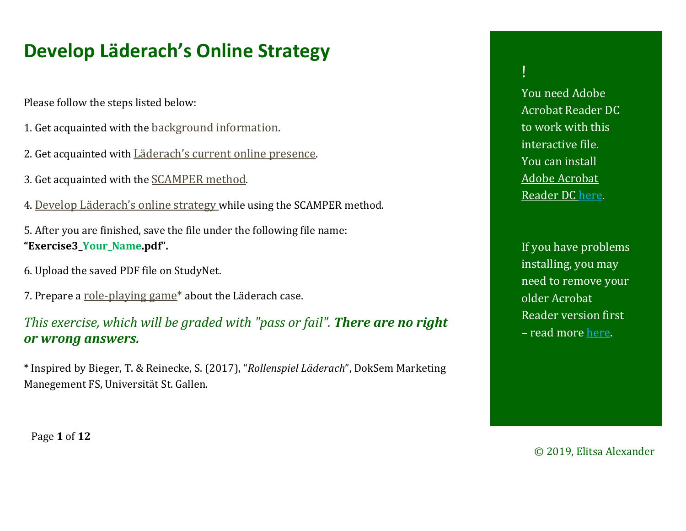# <span id="page-0-1"></span><span id="page-0-0"></span>**Develop Läderach's Online Strategy**

Please follow the steps listed below:

- 1. Get acquainted with the [background information](#page-1-0).
- 2. Get acquainted with [Läderach's current online presence](#page-4-0).
- 3. Get acquainted with the [SCAMPER method](#page-5-0).
- 4. [Develop Läderach's online strategy](#page-8-0) while using the SCAMPER method.

5. After you are finished, save the file under the following file name: **"Exercise3\_Your\_Name.pdf".**

- 6. Upload the saved PDF file on StudyNet.
- 7. Prepare a role-[playing game](#page-10-0)<sup>\*</sup> about the Läderach case.

*This exercise, which will be graded with "pass or fail". There are no right or wrong answers.*

\* Inspired by Bieger, T. & Reinecke, S. (2017), "*Rollenspiel Läderach*", DokSem Marketing Manegement FS, Universität St. Gallen.

# !

You need Adobe Acrobat Reader DC to work with this interactive file. You can install [Adobe Acrobat](https://get.adobe.com/de/reader/)  [Reader DC here](https://get.adobe.com/de/reader/).

If you have problems installing, you may need to remove your older Acrobat Reader version first – read more [here](https://helpx.adobe.com/de/acrobat/kb/update-errors-acrobat-reader-windows.html).

Page **1** of **12**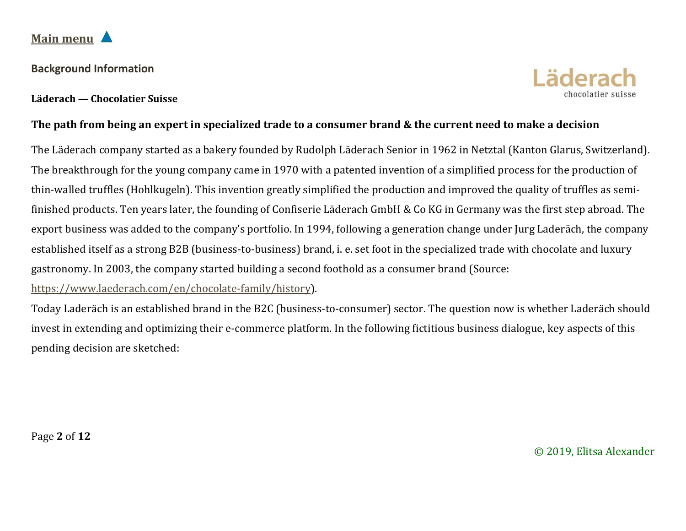### <span id="page-1-0"></span>**[Main menu](#page-0-0)**

#### **Background Information**



#### **The path from being an expert in specialized trade to a consumer brand & the current need to make a decision**

The Läderach company started as a bakery founded by Rudolph Läderach Senior in 1962 in Netztal (Kanton Glarus, Switzerland). The breakthrough for the young company came in 1970 with a patented invention of a simplified process for the production of thin-walled truffles (Hohlkugeln). This invention greatly simplified the production and improved the quality of truffles as semifinished products. Ten years later, the founding of Confiserie Läderach GmbH & Co KG in Germany was the first step abroad. The export business was added to the company's portfolio. In 1994, following a generation change under Jurg Laderäch, the company established itself as a strong B2B (business-to-business) brand, i. e. set foot in the specialized trade with chocolate and luxury gastronomy. In 2003, the company started building a second foothold as a consumer brand (Source:

[https://www.laederach.com/en/chocolate](https://www.laederach.com/en/chocolate-family/history)-family/history).

Today Laderäch is an established brand in the B2C (business-to-consumer) sector. The question now is whether Laderäch should invest in extending and optimizing their e-commerce platform. In the following fictitious business dialogue, key aspects of this pending decision are sketched:

Page **2** of **12**

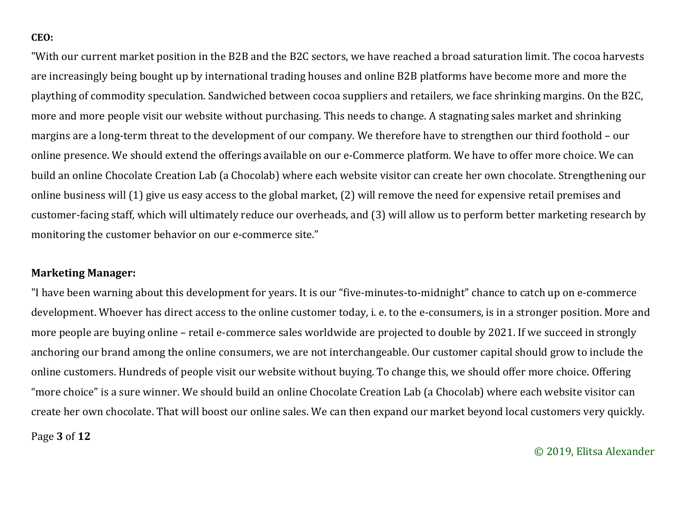#### **CEO:**

"With our current market position in the B2B and the B2C sectors, we have reached a broad saturation limit. The cocoa harvests are increasingly being bought up by international trading houses and online B2B platforms have become more and more the plaything of commodity speculation. Sandwiched between cocoa suppliers and retailers, we face shrinking margins. On the B2C, more and more people visit our website without purchasing. This needs to change. A stagnating sales market and shrinking margins are a long-term threat to the development of our company. We therefore have to strengthen our third foothold – our online presence. We should extend the offerings available on our e-Commerce platform. We have to offer more choice. We can build an online Chocolate Creation Lab (a Chocolab) where each website visitor can create her own chocolate. Strengthening our online business will (1) give us easy access to the global market, (2) will remove the need for expensive retail premises and customer-facing staff, which will ultimately reduce our overheads, and (3) will allow us to perform better marketing research by monitoring the customer behavior on our e-commerce site."

#### **Marketing Manager:**

"I have been warning about this development for years. It is our "five-minutes-to-midnight" chance to catch up on e-commerce development. Whoever has direct access to the online customer today, i. e. to the e-consumers, is in a stronger position. More and more people are buying online – retail e-commerce sales worldwide are projected to double by 2021. If we succeed in strongly anchoring our brand among the online consumers, we are not interchangeable. Our customer capital should grow to include the online customers. Hundreds of people visit our website without buying. To change this, we should offer more choice. Offering "more choice" is a sure winner. We should build an online Chocolate Creation Lab (a Chocolab) where each website visitor can create her own chocolate. That will boost our online sales. We can then expand our market beyond local customers very quickly.

Page **3** of **12**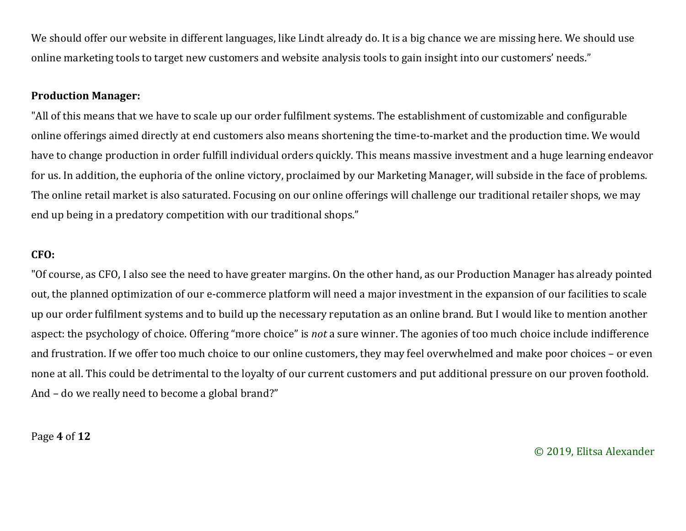We should offer our website in different languages, like Lindt already do. It is a big chance we are missing here. We should use online marketing tools to target new customers and website analysis tools to gain insight into our customers' needs."

#### **Production Manager:**

"All of this means that we have to scale up our order fulfilment systems. The establishment of customizable and configurable online offerings aimed directly at end customers also means shortening the time-to-market and the production time. We would have to change production in order fulfill individual orders quickly. This means massive investment and a huge learning endeavor for us. In addition, the euphoria of the online victory, proclaimed by our Marketing Manager, will subside in the face of problems. The online retail market is also saturated. Focusing on our online offerings will challenge our traditional retailer shops, we may end up being in a predatory competition with our traditional shops."

#### **CFO:**

"Of course, as CFO, I also see the need to have greater margins. On the other hand, as our Production Manager has already pointed out, the planned optimization of our e-commerce platform will need a major investment in the expansion of our facilities to scale up our order fulfilment systems and to build up the necessary reputation as an online brand. But I would like to mention another aspect: the psychology of choice. Offering "more choice" is *not* a sure winner. The agonies of too much choice include indifference and frustration. If we offer too much choice to our online customers, they may feel overwhelmed and make poor choices – or even none at all. This could be detrimental to the loyalty of our current customers and put additional pressure on our proven foothold. And – do we really need to become a global brand?"

Page **4** of **12**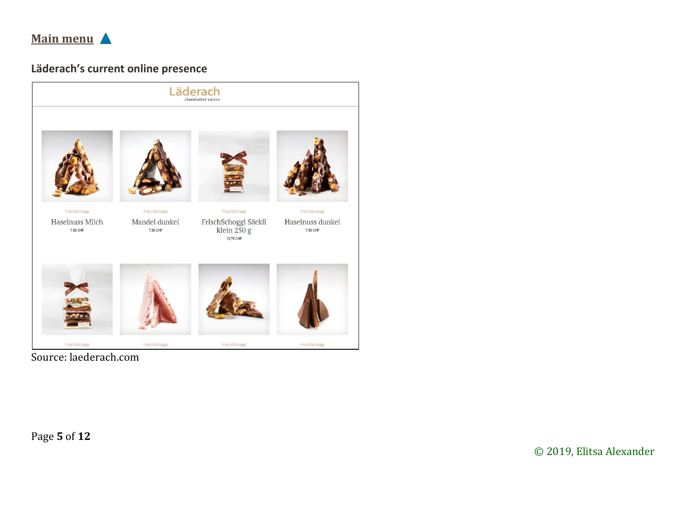<span id="page-4-0"></span>

### Läderach's current online presence



Source: laederach.com

Page 5 of 12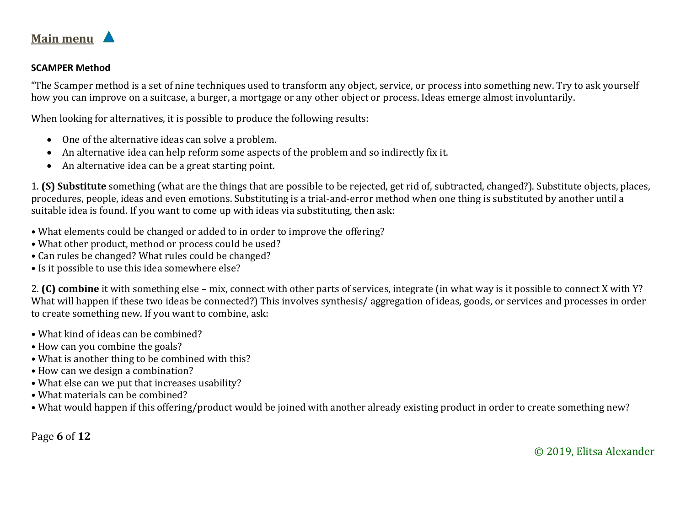<span id="page-5-0"></span>

#### **SCAMPER Method**

"The Scamper method is a set of nine techniques used to transform any object, service, or process into something new. Try to ask yourself how you can improve on a suitcase, a burger, a mortgage or any other object or process. Ideas emerge almost involuntarily.

When looking for alternatives, it is possible to produce the following results:

- One of the alternative ideas can solve a problem.
- An alternative idea can help reform some aspects of the problem and so indirectly fix it.
- An alternative idea can be a great starting point.

1. **(S) Substitute** something (what are the things that are possible to be rejected, get rid of, subtracted, changed?). Substitute objects, places, procedures, people, ideas and even emotions. Substituting is a trial-and-error method when one thing is substituted by another until a suitable idea is found. If you want to come up with ideas via substituting, then ask:

- What elements could be changed or added to in order to improve the offering?
- What other product, method or process could be used?
- Can rules be changed? What rules could be changed?
- Is it possible to use this idea somewhere else?

2. **(C) combine** it with something else – mix, connect with other parts of services, integrate (in what way is it possible to connect X with Y? What will happen if these two ideas be connected?) This involves synthesis/ aggregation of ideas, goods, or services and processes in order to create something new. If you want to combine, ask:

- What kind of ideas can be combined?
- How can you combine the goals?
- What is another thing to be combined with this?
- How can we design a combination?
- What else can we put that increases usability?
- What materials can be combined?
- What would happen if this offering/product would be joined with another already existing product in order to create something new?

Page **6** of **12**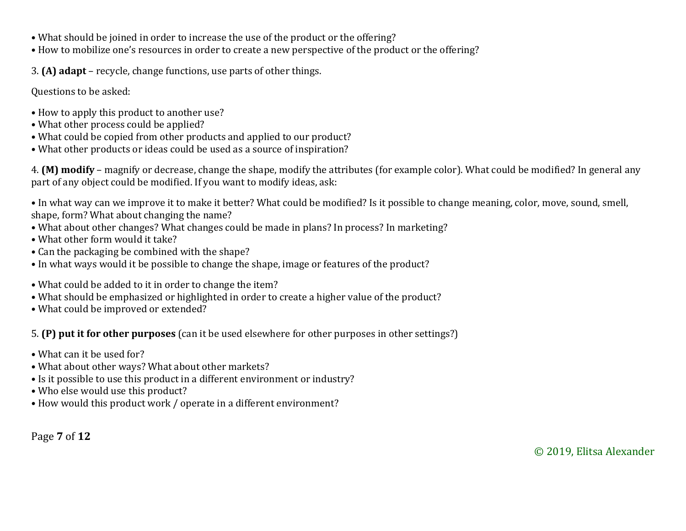- What should be joined in order to increase the use of the product or the offering?
- How to mobilize one's resources in order to create a new perspective of the product or the offering?

3. **(A) adapt** – recycle, change functions, use parts of other things.

Questions to be asked:

- How to apply this product to another use?
- What other process could be applied?
- What could be copied from other products and applied to our product?
- What other products or ideas could be used as a source of inspiration?

4. **(M) modify** – magnify or decrease, change the shape, modify the attributes (for example color). What could be modified? In general any part of any object could be modified. If you want to modify ideas, ask:

• In what way can we improve it to make it better? What could be modified? Is it possible to change meaning, color, move, sound, smell, shape, form? What about changing the name?

- What about other changes? What changes could be made in plans? In process? In marketing?
- What other form would it take?
- Can the packaging be combined with the shape?
- In what ways would it be possible to change the shape, image or features of the product?
- What could be added to it in order to change the item?
- What should be emphasized or highlighted in order to create a higher value of the product?
- What could be improved or extended?

5. **(P) put it for other purposes** (can it be used elsewhere for other purposes in other settings?)

- What can it be used for?
- What about other ways? What about other markets?
- Is it possible to use this product in a different environment or industry?
- Who else would use this product?
- How would this product work / operate in a different environment?

Page **7** of **12**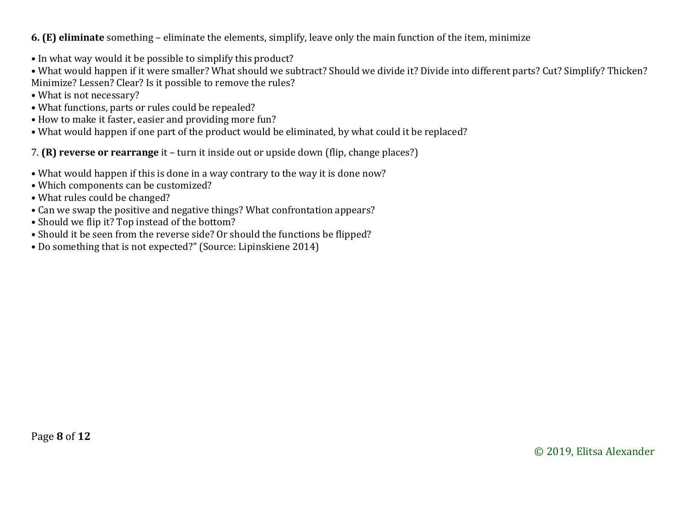#### **6. (E) eliminate** something – eliminate the elements, simplify, leave only the main function of the item, minimize

- In what way would it be possible to simplify this product?
- What would happen if it were smaller? What should we subtract? Should we divide it? Divide into different parts? Cut? Simplify? Thicken? Minimize? Lessen? Clear? Is it possible to remove the rules?
- What is not necessary?
- What functions, parts or rules could be repealed?
- How to make it faster, easier and providing more fun?
- What would happen if one part of the product would be eliminated, by what could it be replaced?

7. **(R) reverse or rearrange** it – turn it inside out or upside down (flip, change places?)

- What would happen if this is done in a way contrary to the way it is done now?
- Which components can be customized?
- What rules could be changed?
- Can we swap the positive and negative things? What confrontation appears?
- Should we flip it? Top instead of the bottom?
- Should it be seen from the reverse side? Or should the functions be flipped?
- Do something that is not expected?" (Source: Lipinskiene 2014)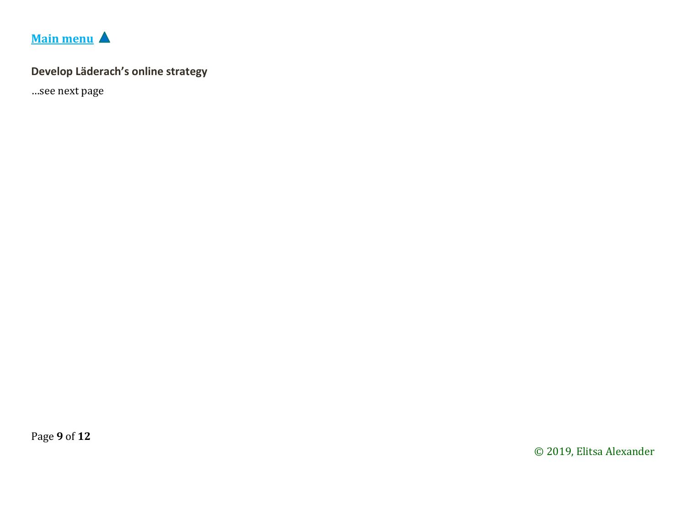

## <span id="page-8-0"></span>Develop Läderach's online strategy

...see next page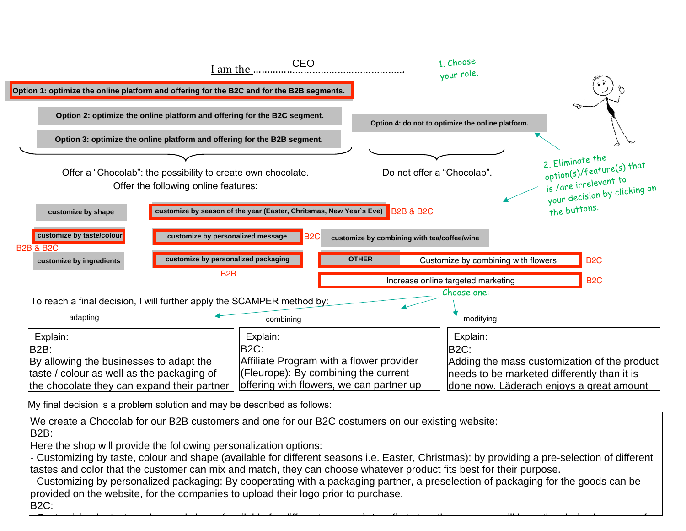

My final decision is a problem solution and may be described as follows: wy final decision is a problem solution and may described as follows.

Page **12** of **14** We create a Chocolab for our B2B customers and one for our B2C costumers on our existing website: companies in the chocolate Frey for the Frey for the free form of the free form of the free form of the free form of the free form of the free form of the free form of the free form of the free form of the free form of the B2B: Switzerland, thanks to the live chocolate

Here the shop will provide the following personalization options:

 $\overline{\phantom{a}}$ 

There the shop will provide the following personalization options.<br>- Customizing by taste, colour and shape (available for different seasons i.e. Easter, Christmas): by providing a pre-selection of different tastes and color that the customer can mix and match, they can choose whatever product fits best for their purpose.

 $\sim$  color and shape (available for different seasons): In a first step, the colour will have the choice between  $t-1$ 

decision to visit and the visit of the visit of the visit of the visit of the visit of the visit of the visit<br>The visit of the visit of the visit of the visit of the visit of the visit of the visit of the visit of the vi

- Customizing by personalized packaging: By cooperating with a packaging partner, a preselection of packaging for the goods can be provided on the website, for the companies to upload their logo prior to purchase. regarding the taste and colour of the B2C:

also offer our partners on our partners on  $\mathcal{C}$  , and  $\mathcal{C}$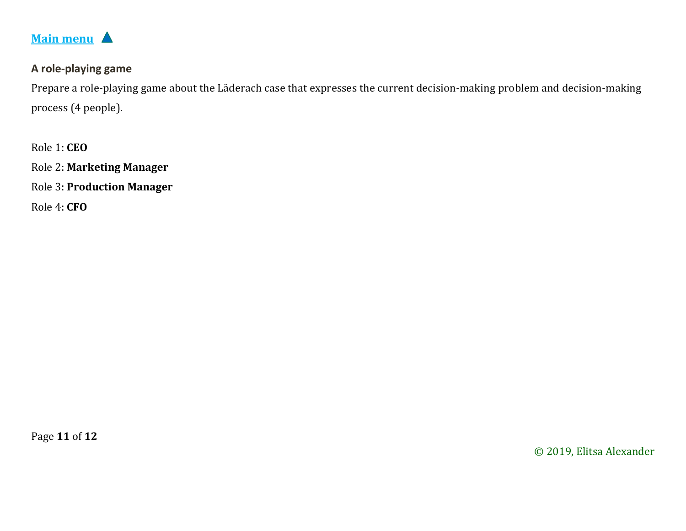<span id="page-10-0"></span>

#### **A role-playing game**

Prepare a role-playing game about the Läderach case that expresses the current decision-making problem and decision-making process (4 people).

Role 1: **CEO** Role 2: **Marketing Manager** Role 3: **Production Manager**

Role 4: **CFO**

Page **11** of **12**